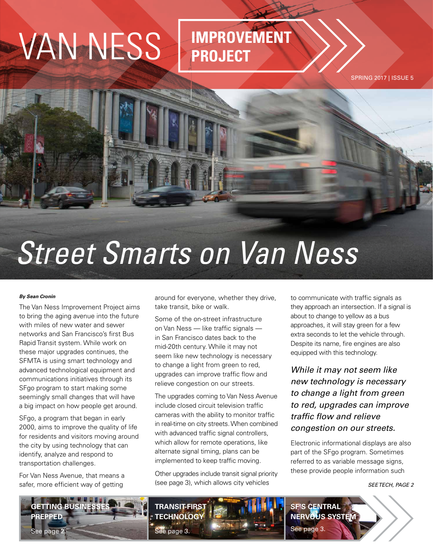# VAN NESS **IMPROVEMENT**

# **PROJECT**

SPRING 2017 | ISSUE 5

# *Street Smarts on Van Ness*

### *By Sean Cronin*

The Van Ness Improvement Project aims to bring the aging avenue into the future with miles of new water and sewer networks and San Francisco's first Bus Rapid Transit system. While work on these major upgrades continues, the SFMTA is using smart technology and advanced technological equipment and communications initiatives through its SFgo program to start making some seemingly small changes that will have a big impact on how people get around.

SFgo, a program that began in early 2000, aims to improve the quality of life for residents and visitors moving around the city by using technology that can identify, analyze and respond to transportation challenges.

For Van Ness Avenue, that means a safer, more efficient way of getting

around for everyone, whether they drive, take transit, bike or walk.

Some of the on-street infrastructure on Van Ness — like traffic signals in San Francisco dates back to the mid-20th century. While it may not seem like new technology is necessary to change a light from green to red, upgrades can improve traffic flow and relieve congestion on our streets.

The upgrades coming to Van Ness Avenue include closed circuit television traffic cameras with the ability to monitor traffic in real-time on city streets. When combined with advanced traffic signal controllers, which allow for remote operations, like alternate signal timing, plans can be implemented to keep traffic moving.

Other upgrades include transit signal priority (see page 3), which allows city vehicles

to communicate with traffic signals as they approach an intersection. If a signal is about to change to yellow as a bus approaches, it will stay green for a few extra seconds to let the vehicle through. Despite its name, fire engines are also equipped with this technology.

*While it may not seem like new technology is necessary to change a light from green to red, upgrades can improve traffic flow and relieve congestion on our streets.*

Electronic informational displays are also part of the SFgo program. Sometimes referred to as variable message signs, these provide people information such

### *SEE TECH, PAGE 2*

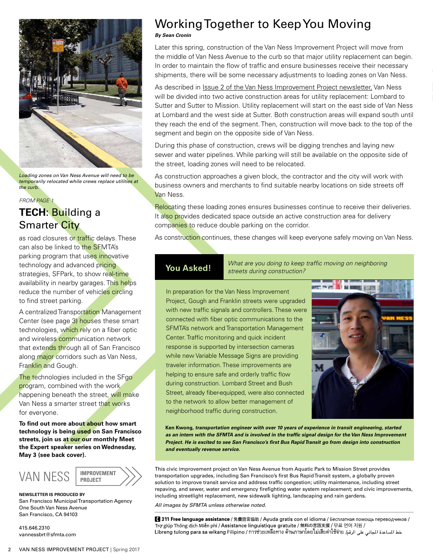

*Loading zones on Van Ness Avenue will need to be temporarily relocated while crews replace utilities at the curb.*

### *FROM PAGE 1* **TECH**: Building a Smarter City

as road closures or traffic delays. These can also be linked to the SFMTA's parking program that uses innovative technology and advanced pricing strategies, SFPark, to show real-time availability in nearby garages. This helps reduce the number of vehicles circling to find street parking.

A centralized Transportation Management Center (see page 3) houses these smart technologies, which rely on a fiber optic and wireless communication network that extends through all of San Francisco along major corridors such as Van Ness, Franklin and Gough.

The technologies included in the SFgo program, combined with the work happening beneath the street, will make Van Ness a smarter street that works for everyone.

**To find out more about about how smart technology is being used on San Francisco streets, join us at our our monthly Meet the Expert speaker series on Wednesday, May 3 (see back cover).**



**NEWSLETTER IS PRODUCED BY** San Francisco Municipal Transportation Agency One South Van Ness Avenue San Francisco, CA 94103

415.646.2310 vannessbrt@sfmta.com

## Working Together to Keep You Moving

*By Sean Cronin*

Later this spring, construction of the Van Ness Improvement Project will move from the middle of Van Ness Avenue to the curb so that major utility replacement can begin. In order to maintain the flow of traffic and ensure businesses receive their necessary shipments, there will be some necessary adjustments to loading zones on Van Ness.

As described in [Issue 2 of the Van Ness Improvement Project newsletter,](https://www.sfmta.com/sites/default/files/projects/2016/VN_Newsltr_2016-02_FINAL.pdf) Van Ness will be divided into two active construction areas for utility replacement: Lombard to Sutter and Sutter to Mission. Utility replacement will start on the east side of Van Ness at Lombard and the west side at Sutter. Both construction areas will expand south until they reach the end of the segment. Then, construction will move back to the top of the segment and begin on the opposite side of Van Ness.

During this phase of construction, crews will be digging trenches and laying new sewer and water pipelines. While parking will still be available on the opposite side of the street, loading zones will need to be relocated.

As construction approaches a given block, the contractor and the city will work with business owners and merchants to find suitable nearby locations on side streets off Van Ness.

Relocating these loading zones ensures businesses continue to receive their deliveries. It also provides dedicated space outside an active construction area for delivery companies to reduce double parking on the corridor.

As construction continues, these changes will keep everyone safely moving on Van Ness.

**You Asked!** *What are you doing to keep traffic moving on neighboring streets during construction?*

**Loading 2018** Street, already fiber-equipped, were also connected to be also be also be also be also be also be  $\mathbb{R}$ to the network to allow better management of **the crews replace to the crews** replace to the crews replace to the *the curb.* neighborhood traffic during construction. In preparation for the Van Ness Improvement Project, Gough and Franklin streets were upgraded with new traffic signals and controllers. These were connected with fiber optic communications to the SFMTA's network and Transportation Management Center. Traffic monitoring and quick incident response is supported by intersection cameras while new Variable Message Signs are providing traveler information. These improvements are helping to ensure safe and orderly traffic flow during construction. Lombard Street and Bush



**Ken Kwong***, transportation engineer with over 10 years of experience in transit engineering, started as an intern with the SFMTA and is involved in the traffic signal design for the Van Ness Improvement Project. He is excited to see San Francisco's first Bus Rapid Transit go from design into construction and eventually revenue service.*

This civic improvement project on Van Ness Avenue from Aquatic Park to Mission Street provides transportation upgrades, including San Francisco's first Bus Rapid Transit system, a globally proven solution to improve transit service and address traffic congestion; utility maintenance, including street repaving, and sewer, water and emergency firefighting water system replacement; and civic improvements, including streetlight replacement, new sidewalk lighting, landscaping and rain gardens.

*All images by SFMTA unless otherwise noted.*

1311 Free language assistance / 免費語言協助 / Ayuda gratis con el idioma / Бесплатная помощь переводчиков / Trợ giúp Thông dịch Miễn phí / Assistance linguistique gratuite / 無料の言語支援 / 무료 언어 지원 / خط الساعدة الجاني على الرقم [عدائة|العامة]<br>خط الساعدة الجاني على الرقم [عدائة|العدائية مالية||العدائية مالية||طلاقة||Libreng tulong para sa wikang Filipino / การช่วยเหลือทาง ด้านภาษาโดย